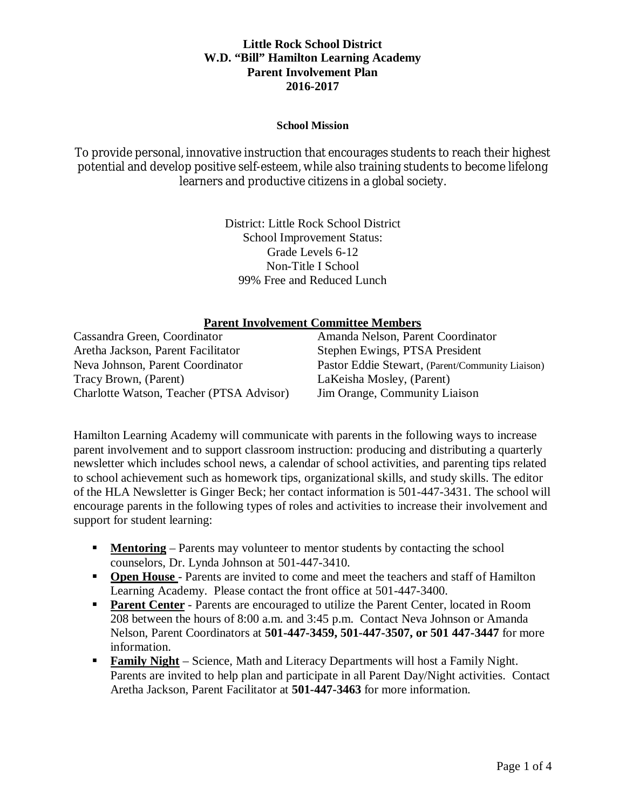#### **School Mission**

To provide personal, innovative instruction that encourages students to reach their highest potential and develop positive self-esteem, while also training students to become lifelong learners and productive citizens in a global society.

> District: Little Rock School District School Improvement Status: Grade Levels 6-12 Non-Title I School 99% Free and Reduced Lunch

### **Parent Involvement Committee Members**

| Cassandra Green, Coordinator             | Amanda Nelson, Parent Coordinator                |
|------------------------------------------|--------------------------------------------------|
| Aretha Jackson, Parent Facilitator       | Stephen Ewings, PTSA President                   |
| Neva Johnson, Parent Coordinator         | Pastor Eddie Stewart, (Parent/Community Liaison) |
| Tracy Brown, (Parent)                    | LaKeisha Mosley, (Parent)                        |
| Charlotte Watson, Teacher (PTSA Advisor) | Jim Orange, Community Liaison                    |

Hamilton Learning Academy will communicate with parents in the following ways to increase parent involvement and to support classroom instruction: producing and distributing a quarterly newsletter which includes school news, a calendar of school activities, and parenting tips related to school achievement such as homework tips, organizational skills, and study skills. The editor of the HLA Newsletter is Ginger Beck; her contact information is 501-447-3431. The school will encourage parents in the following types of roles and activities to increase their involvement and support for student learning:

- **Mentoring** Parents may volunteer to mentor students by contacting the school counselors, Dr. Lynda Johnson at 501-447-3410.
- **Open House** Parents are invited to come and meet the teachers and staff of Hamilton Learning Academy. Please contact the front office at 501-447-3400.
- **Parent Center** Parents are encouraged to utilize the Parent Center, located in Room 208 between the hours of 8:00 a.m. and 3:45 p.m. Contact Neva Johnson or Amanda Nelson, Parent Coordinators at **501-447-3459, 501-447-3507, or 501 447-3447** for more information.
- **Family Night** Science, Math and Literacy Departments will host a Family Night. Parents are invited to help plan and participate in all Parent Day/Night activities. Contact Aretha Jackson, Parent Facilitator at **501-447-3463** for more information.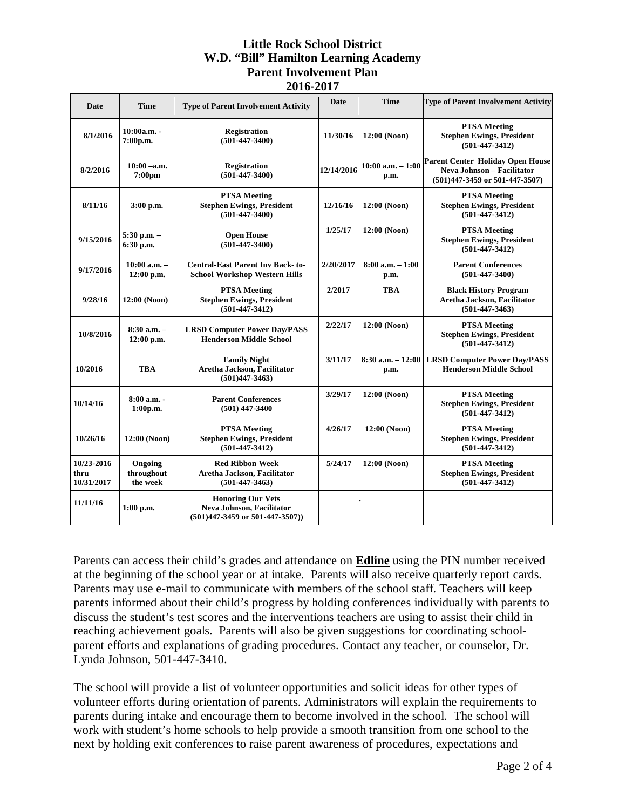| Date                             | <b>Time</b>                          | <b>Type of Parent Involvement Activity</b>                                                         | <b>Date</b> | Time                         | <b>Type of Parent Involvement Activity</b>                                                                  |
|----------------------------------|--------------------------------------|----------------------------------------------------------------------------------------------------|-------------|------------------------------|-------------------------------------------------------------------------------------------------------------|
| 8/1/2016                         | 10:00a.m. -<br>7:00p.m.              | <b>Registration</b><br>$(501-447-3400)$                                                            | 11/30/16    | 12:00 (Noon)                 | <b>PTSA Meeting</b><br><b>Stephen Ewings, President</b><br>$(501 - 447 - 3412)$                             |
| 8/2/2016                         | $10:00 - a.m.$<br>7:00 <sub>pm</sub> | <b>Registration</b><br>$(501-447-3400)$                                                            | 12/14/2016  | $10:00$ a.m. $-1:00$<br>p.m. | <b>Parent Center Holiday Open House</b><br>Neva Johnson - Facilitator<br>$(501)447 - 3459$ or 501-447-3507) |
| 8/11/16                          | 3:00 p.m.                            | <b>PTSA Meeting</b><br><b>Stephen Ewings, President</b><br>$(501 - 447 - 3400)$                    | 12/16/16    | 12:00 (Noon)                 | <b>PTSA Meeting</b><br><b>Stephen Ewings, President</b><br>$(501-447-3412)$                                 |
| 9/15/2016                        | 5:30 p.m. -<br>6:30 p.m.             | <b>Open House</b><br>$(501-447-3400)$                                                              | 1/25/17     | 12:00 (Noon)                 | <b>PTSA Meeting</b><br><b>Stephen Ewings, President</b><br>$(501 - 447 - 3412)$                             |
| 9/17/2016                        | $10:00$ a.m. $-$<br>12:00 p.m.       | <b>Central-East Parent Inv Back-to-</b><br><b>School Workshop Western Hills</b>                    | 2/20/2017   | $8:00$ a.m. $-1:00$<br>p.m.  | <b>Parent Conferences</b><br>$(501 - 447 - 3400)$                                                           |
| 9/28/16                          | 12:00 (Noon)                         | <b>PTSA Meeting</b><br><b>Stephen Ewings, President</b><br>$(501 - 447 - 3412)$                    | 2/2017      | <b>TBA</b>                   | <b>Black History Program</b><br>Aretha Jackson, Facilitator<br>$(501-447-3463)$                             |
| 10/8/2016                        | $8:30$ a.m. $-$<br>12:00 p.m.        | <b>LRSD Computer Power Day/PASS</b><br><b>Henderson Middle School</b>                              | 2/22/17     | 12:00 (Noon)                 | <b>PTSA Meeting</b><br><b>Stephen Ewings, President</b><br>$(501 - 447 - 3412)$                             |
| 10/2016                          | <b>TBA</b>                           | <b>Family Night</b><br>Aretha Jackson, Facilitator<br>$(501)447 - 3463$                            | 3/11/17     | $8:30$ a.m. $-12:00$<br>p.m. | <b>LRSD Computer Power Day/PASS</b><br><b>Henderson Middle School</b>                                       |
| 10/14/16                         | $8:00a.m. -$<br>1:00p.m.             | <b>Parent Conferences</b><br>$(501)$ 447-3400                                                      | 3/29/17     | 12:00 (Noon)                 | <b>PTSA Meeting</b><br><b>Stephen Ewings, President</b><br>$(501-447-3412)$                                 |
| 10/26/16                         | 12:00 (Noon)                         | <b>PTSA Meeting</b><br><b>Stephen Ewings, President</b><br>$(501 - 447 - 3412)$                    | 4/26/17     | 12:00 (Noon)                 | <b>PTSA Meeting</b><br><b>Stephen Ewings, President</b><br>$(501-447-3412)$                                 |
| 10/23-2016<br>thru<br>10/31/2017 | Ongoing<br>throughout<br>the week    | <b>Red Ribbon Week</b><br>Aretha Jackson, Facilitator<br>$(501-447-3463)$                          | 5/24/17     | 12:00 (Noon)                 | <b>PTSA Meeting</b><br><b>Stephen Ewings, President</b><br>$(501 - 447 - 3412)$                             |
| 11/11/16                         | $1:00$ p.m.                          | <b>Honoring Our Vets</b><br>Neva Johnson, Facilitator<br>$(501)447 - 3459$ or $501 - 447 - 3507$ ) |             |                              |                                                                                                             |

Parents can access their child's grades and attendance on **Edline** using the PIN number received at the beginning of the school year or at intake. Parents will also receive quarterly report cards. Parents may use e-mail to communicate with members of the school staff. Teachers will keep parents informed about their child's progress by holding conferences individually with parents to discuss the student's test scores and the interventions teachers are using to assist their child in reaching achievement goals. Parents will also be given suggestions for coordinating schoolparent efforts and explanations of grading procedures. Contact any teacher, or counselor, Dr. Lynda Johnson, 501-447-3410.

The school will provide a list of volunteer opportunities and solicit ideas for other types of volunteer efforts during orientation of parents. Administrators will explain the requirements to parents during intake and encourage them to become involved in the school. The school will work with student's home schools to help provide a smooth transition from one school to the next by holding exit conferences to raise parent awareness of procedures, expectations and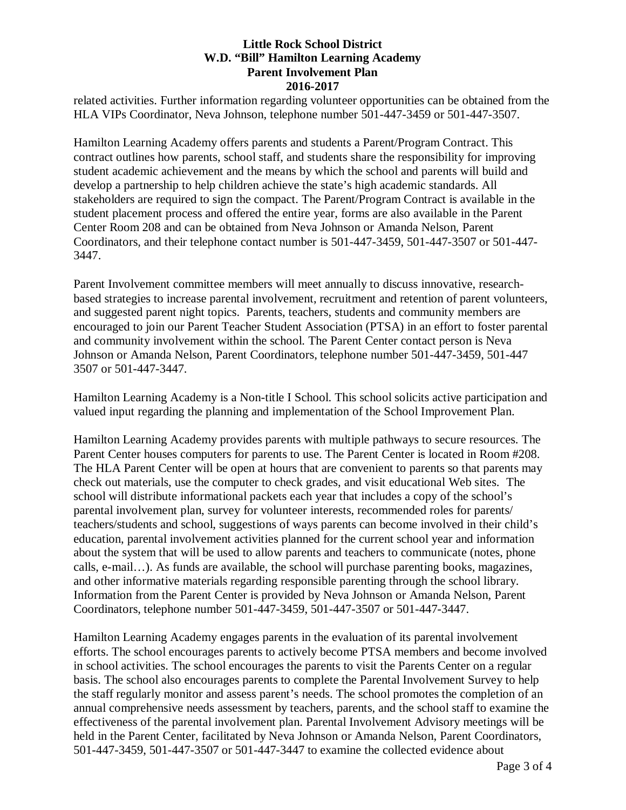related activities. Further information regarding volunteer opportunities can be obtained from the HLA VIPs Coordinator, Neva Johnson, telephone number 501-447-3459 or 501-447-3507.

Hamilton Learning Academy offers parents and students a Parent/Program Contract. This contract outlines how parents, school staff, and students share the responsibility for improving student academic achievement and the means by which the school and parents will build and develop a partnership to help children achieve the state's high academic standards. All stakeholders are required to sign the compact. The Parent/Program Contract is available in the student placement process and offered the entire year, forms are also available in the Parent Center Room 208 and can be obtained from Neva Johnson or Amanda Nelson, Parent Coordinators, and their telephone contact number is 501-447-3459, 501-447-3507 or 501-447- 3447.

Parent Involvement committee members will meet annually to discuss innovative, researchbased strategies to increase parental involvement, recruitment and retention of parent volunteers, and suggested parent night topics. Parents, teachers, students and community members are encouraged to join our Parent Teacher Student Association (PTSA) in an effort to foster parental and community involvement within the school. The Parent Center contact person is Neva Johnson or Amanda Nelson, Parent Coordinators, telephone number 501-447-3459, 501-447 3507 or 501-447-3447.

Hamilton Learning Academy is a Non-title I School. This school solicits active participation and valued input regarding the planning and implementation of the School Improvement Plan.

Hamilton Learning Academy provides parents with multiple pathways to secure resources. The Parent Center houses computers for parents to use. The Parent Center is located in Room #208. The HLA Parent Center will be open at hours that are convenient to parents so that parents may check out materials, use the computer to check grades, and visit educational Web sites. The school will distribute informational packets each year that includes a copy of the school's parental involvement plan, survey for volunteer interests, recommended roles for parents/ teachers/students and school, suggestions of ways parents can become involved in their child's education, parental involvement activities planned for the current school year and information about the system that will be used to allow parents and teachers to communicate (notes, phone calls, e-mail…). As funds are available, the school will purchase parenting books, magazines, and other informative materials regarding responsible parenting through the school library. Information from the Parent Center is provided by Neva Johnson or Amanda Nelson, Parent Coordinators, telephone number 501-447-3459, 501-447-3507 or 501-447-3447.

Hamilton Learning Academy engages parents in the evaluation of its parental involvement efforts. The school encourages parents to actively become PTSA members and become involved in school activities. The school encourages the parents to visit the Parents Center on a regular basis. The school also encourages parents to complete the Parental Involvement Survey to help the staff regularly monitor and assess parent's needs. The school promotes the completion of an annual comprehensive needs assessment by teachers, parents, and the school staff to examine the effectiveness of the parental involvement plan. Parental Involvement Advisory meetings will be held in the Parent Center, facilitated by Neva Johnson or Amanda Nelson, Parent Coordinators, 501-447-3459, 501-447-3507 or 501-447-3447 to examine the collected evidence about